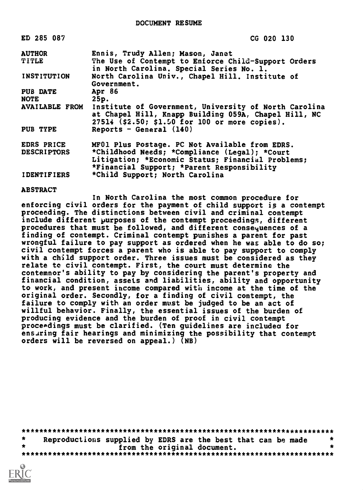| ED 285 087         | CG 020 130                                                                                                                                                                     |
|--------------------|--------------------------------------------------------------------------------------------------------------------------------------------------------------------------------|
| <b>AUTHOR</b>      | Ennis, Trudy Allen; Mason, Janet                                                                                                                                               |
| <b>TITLE</b>       | The Use of Contempt to Enforce Child-Support Orders<br>in North Carolina. Special Series No. 1.                                                                                |
| INSTITUTION        | North Carolina Univ., Chapel Hill. Institute of<br>Government.                                                                                                                 |
| PUB DATE           | Apr 86                                                                                                                                                                         |
| <b>NOTE</b>        | 25p.                                                                                                                                                                           |
|                    | AVAILABLE FROM Institute of Government, University of North Carolina<br>at Chapel Hill, Knapp Building 059A, Chapel Hill, NC<br>27514 (\$2.50; \$1.50 for 100 or more copies). |
| PUB TYPE           | Reports - General (140)                                                                                                                                                        |
| EDRS PRICE         | MF01 Plus Postage. PC Not Available from EDRS.                                                                                                                                 |
| <b>DESCRIPTORS</b> | *Childhood Needs; *Compliance (Legal); *Court                                                                                                                                  |
|                    | Litigation; *Economic Status; Financial Problems;                                                                                                                              |
|                    | *Financial Support; *Parent Responsibility                                                                                                                                     |
| <b>IDENTIFIERS</b> | *Child Support; North Carolina                                                                                                                                                 |

ABSTRACT

In North Carolina the most common procedure for enforcing civil orders for the payment of child support is a contempt proceeding. The distinctions between civil and criminal contempt include different purposes of the contempt proceedings, different procedures that must be followed, and different consequences of a finding of contempt. Criminal contempt punishes a parent for past wrongful failure to pay support as ordered when he was able to do so; civil contempt forces a parent who is able to pay support to comply with a child support order. Three issues must be considered as they relate to civil contempt. First, the court must determine the contemnor's ability to pay by considering the parent's property and financial condition, assets and liabilities, ability and opportunity to work, and present income compared with income at the time of the original order. Secondly, for a finding of civil contempt, the failure to comply with an order must be judged to be an act of willful behavior. Finally, the essential issues of the burden of producing evidence and the burden of proof in civil contempt proceedings must be clarified. (Ten guidelines are included for ensuring fair hearings and minimizing the possibility that contempt orders will be reversed on appeal.) (NB)

\*\*\*\*\*\*\*\*\*\*\*\*\*\*\*\*\*\*\*\*\*\*\*\*\*\*\*\*\*\*\*\*\*\*\*\*\*\*\*\*\*\*\*\*\*\*\*\*\*\*\*\*\*\*\*\*\*\*\*\*\*\*\*\*\*\*\*\*\*\*\* \* Reproductions supplied by EDRS are the best that can be made \* \* from the original document. \* \*\*\*\*\*\*\*\*\*\*\*\*\*\*\*\*\*\*\*\*\*\*\*\*\*\*\*\*\*\*\*\*\*\*\*\*\*\*\*\*\*\*\*\*\*\*\*\*\*\*\*\*\*\*\*\*\*\*\*\*\*\*\*\*\*\*\*\*\*\*\*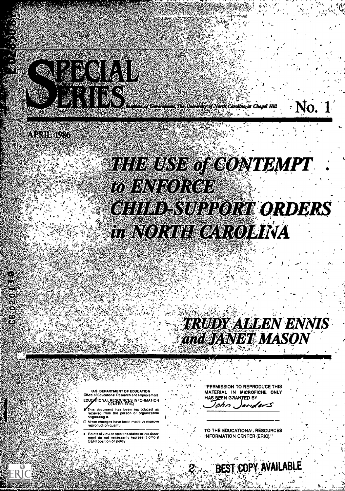

ity of North Carolina at Chapel Hill

### ARRIENTA

11020

Ĉ.

## **THE EXIST OF GONTEMPT**  $\bullet$  and  $\bullet$ WIRMAON GR I **CHITAD SUPPORT ORDERS** HENORIE CAROLINA

# **TRUDY ALLEN ENNIS**  $N$  . The set of  $N$

ti

No.

U.S DEPARTMENT OF EDUCATION Office of Educational Research and Improvement EDUCATIONAL RESOURCES INFORMATION

- This document has been reproduced as received from the person or organization originating It
- $\square$  M nor changes have been made to improve  $\begin{array}{ccc} \bullet & \bullet & \bullet \\ \bullet & \bullet & \bullet \end{array}$

Points ot view or optnions stated in this docu- . ment do not necessarily represent official OERI position or policy

"PERMISSION TO REPRODUCE THIS MATERIAL IN MICROFICHE ONLY HAS BEEN GRANTED BY

ohn  $\boldsymbol{\mathscr{A}}$ 

TO THE EDUCATIONAL. RESOURCES INFORMATION CENTER (ERIC)."

BEST COPY AVAILABLE

f a <sup>f</sup> -It "rt. -V. GIL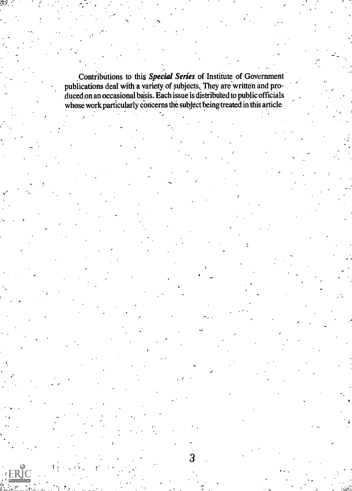:<br>: . . . . . Contributions to this *Special Series* of Institute of Government publications deal with a variety of subjects, They are written and produced on an occasional basis. Each issue is distributed to public officials whose work particularly concerns the subject beingtreated in this article.

 $\mathbf{y}$ 

 $\frac{1}{T}$  3  $\frac{1}{T}$  3  $\frac{1}{T}$  3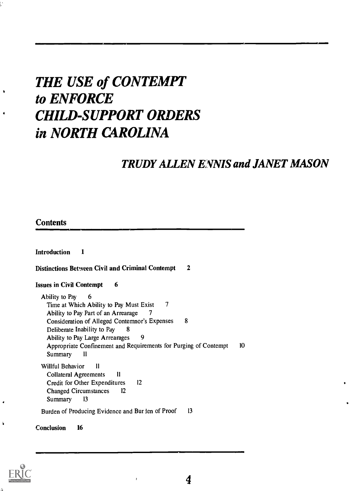## THE USE of CONTEMPT to ENFORCE CHILD-SUPPORT ORDERS in NORTH CAROLINA

### TRUDY ALLEN ENNIS and JANET MASON

#### **Contents**

Introduction <sup>1</sup> Distinctions Between Civil and Criminal Contempt 2 **Issues in Civil Contempt 6** Ability to Pay 6 Time at Which Ability to Pay Must Exist 7 Ability to Pay Part of an Arrearage 7 Consideration of Alleged Contemnor's Expenses 8 Deliberate Inability to Pay 8 Ability to Pay Large Arrearages 9 Appropriate Confinement and Requirements for Purging of Contempt 10 Summary II Willful Behavior II Collateral Agreements 11 Credit for Other Expenditures 12 Changed Circumstances <sup>12</sup> Summary <sup>13</sup> Burden of Producing Evidence and Bur len of Proof 13

Conclusion 16

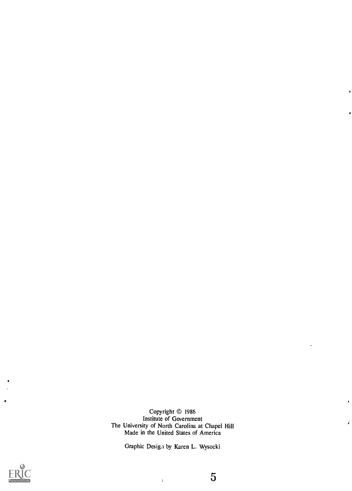Copyright © 1986 Institute of Government The University of North Carolina at Chapel Hill Made in the United States of America

Graphic Desiga by Karen L. Wysocki

 $\mathcal{L}^{\text{max}}$ 



5

ï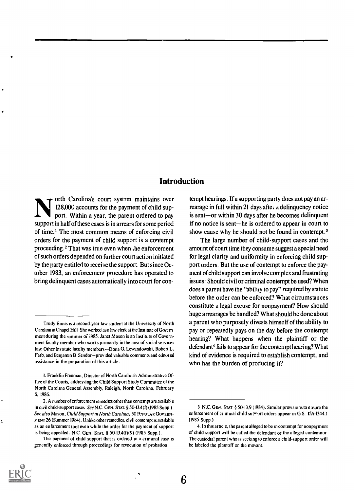#### Introduction

orth Carolina's court system maintains over 128,000 accounts for the payment of child support. Within a year, the parent ordered to pay support in half of these cases is in arrears for some period of time.' The most common means of enforcing civil orders for the payment of child support is a contempt proceeding.2 That was true even when ,he enforcement of such orders depended on further court action initiated by the party entitled to receive the support. But since October 1983, an enforcement procedure has operated to bring delinquent cases automatically into court for con-

tempt hearings. If a supporting party does not pay an arrearage in full within 21 days after a delinquency notice is sent-or within 30 days after he becomes delinquent if no notice is sent—he is ordered to appear in court to show cause why he should not be found in contempt.<sup>3</sup>

The large number of child-support cases and the amount of court time they consume suggest a special need for legal clarity and uniformity in enforcing child support orders. But the use of contempt to enforce the payment of child support can involve complex and frustrating issues: Should civil or criminal contempt be used? When does a parent have the "ability to pay" required by statute before the order can be enforced? What circumstances constitute a legal excuse for nonpayment? How should huge arrearages be handled? What should be done about a parent who purposely divests himself of the ability to pay or repeatedly pays on the day before the contempt hearing? What happens when the plaintiff or the defendant' fails to appear for the contempt hearing? What kind of evidence is required to establish contempt, and who has the burden of producing it?

6

Trudy Ennis is a second-year law student at the University of North Carolina at Chapel Hill She worked as a law clerk at the Institute of Government during the summer of 1985. Janet Mason is an Institute of Government faculty member who works primarily in the area of social services law. Other Institute faculty members-Dona G. Lewandowski, Robert L. Farb, and Benjamin B Seridor-provided valuable comments and editorial assistance in the preparation of this article.

i. Franklin Freeman, Director of North Carolina's Administrative Office of the Courts, addressing the Child Support Study Committee of the North Carolina General Assembly, Raleigh, North Carolina, February 6. 1986.

<sup>2.</sup> A number of enforcement remedies other than contempt are available in civil child-support cases  $See N.C.$  GEN. STAT.  $\S$  50-13.4(f) (1985 Supp). See also Mason, Child Support in North Carolina, 50 POPULAR GOVERN-MENT 26 (Summer 1984). Unlike other remedies, civil contempt is available as an enforcement tool even while the order for the payment of support is being appealed. N.C. GEN. STAT. § 50-13.4(f)(9) (1985 Supp.).

The payment of child support that is ordered in a criminal case is generally enforced through proceedings for revocation of probation.

<sup>3</sup> N.C. GEN. STAT § 50-13.9 (1984). Similar provisions to casure the enforcement of criminal child support orders appear in G S. 15A-1344.1 (1985 Supp.)

<sup>4.</sup> In this article, the parent alleged to be in contempt for nonpayment of child support will be called the defendant or the alleged contemnor The custodial parent who is seeking to enforce a child-support order will be labeled the plaintiff or the movant.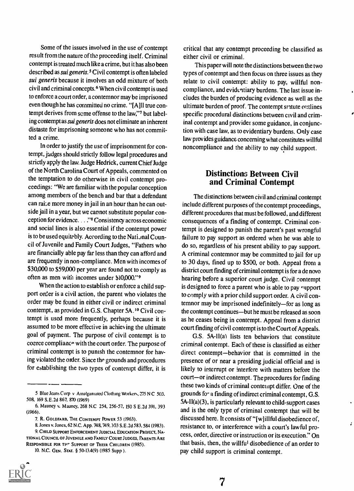Some of the issues involved in the use of contempt result from the nature of the proceeding itself. Criminal contempt is treated much like a crime, but it has also been described as sui generis.5 Civil contempt is often labeled sui generis because it involves an odd mixture of both civil and criminal concepts.6 When civil contempt is used to enforce a court order, a contemnor may be imprisoned even though he has committed no crime. "[A]ll true contempt derives from some offense to the law,"7 but labeling contempt as sui generis does not eliminate an inherent distaste for imprisoning someone who has not committed a crime.

In order to justify the use of imprisonment for contempt, judges should strictly follow legal procedures and strictly apply the law. Judge Hedrick, current Chief Judge of the North Carolina Court of Appeals, commented on the temptation to do otherwise in civil contempt proceedings: "We are familiar with the popular conception among members of the bench and bar that a defendant can raise more money in jail in an hour than he can outside jail in a year, but we cannot substitute popular conception for evidence. , . ."8 Consistency across economic and social lines is also essential if the contempt power is to be used equitably. According to the National Council of Juvenile and Family Court Judges, "Fathers who are financially able pay far less than they can afford and are frequently in non-compliance. Men with incomes of \$30,000 to \$59,000 per year are found not to comply as often as men with incomes under \$10,000."9

When the action to establish or enforce a child support order is a civil action, the parent who violates the order may be found in either civil or indirect criminal contempt, as provided in G.S. Chapter 5A.<sup>10</sup> Civil contempt is used more frequently, perhaps because it is assumed to be more effective in achiev ing the ultimate goal of payment. The purpose of civil contempt is to coerce compliance with the court order. The purpose of criminal contempt is to punish the contemnor for having violated the order. Since the grounds and procedures for establishing the two types of contempt differ, it is

<sup>10.</sup> N.C. GEN. STAT. § 50-13.4(9) (1985 Supp).



critical that any contempt proceeding be classified as either civil or criminal.

This paper will note the distinctions between the two types of contempt and then focus on three issues as they relate to civil contempt: ability to pay, willful noncompliance, and evidentiary burdens. The last issue includes the burden of producing evidence as well as the ultimate burden of proof. The contempt statute outlines specific procedural distinctions between civil and criminal contempt and provides some guidance, in conjunction with case law, as to evidentiary burdens. Only case law provides guidance concerning what constitutes willful noncompliance and the ability to nay child support.

#### Distinctions Between Civil and Criminal Contempt

The distinctions between civil and criminal contempt include different purposes of the contempt proceedings, different procedures that must be followed, and different consequences of a finding of contempt. Criminal contempt is designed to punish the parent's past wrongful failure to pay support as ordered when he was able to do so, regardless of his present ability to pay support. A criminal contemnor may be committed to jail for up to 30 days, fined up to \$500, or both. Appeal from a district court finding of criminal contempt is for a de novo hearing before a superior court judge. Civil contempt is designed to force a parent who is able to pay support to comply with a prior child support order. A civil contemnor may be imprisoned indefinitely-for as long as the contempt continues-but he must be released as soon as he ceases being in contempt. Appeal from a district court finding of civil contempt is to the Court of Appeals.

G.S. 5A-11(a) lists ten behaviors that constitute criminal contempt. Each of these is classified as either direct contempt-behavior that is committed in the presence of or near a presiding judicial official and is likely to interrupt or interfere with matters before the court-or indirect contempt. The procedures for finding these two kinds of criminal contempt differ. One of the grounds for a finding of indirect criminal contempt, G.S. 5A-II(a)(3), is particularly relevant to child-support cases and is the only type of criminal contempt that will be discussed here. It consists of "[w]illful disobedience of, resistance to, or interference with a court's lawful process, order, directive or instruction or its execution." On that basis, then, the willful disobedience of an order to pay child support is criminal contempt.

 $\cdot$ 

<sup>5</sup> Blue Jeans Corp v Amalgamated Clothing Workers, 275 N C 503. 508, 169 S.E.2d 867, 870 (1969)

<sup>6.</sup> Mauney v. Mauney, 268 N.C 254, 256-57, 150 S E.2d 391, 393 (1966).

<sup>7.</sup> R. GOLDFARB, THE CONTEMPT POWER 53 (1963).

<sup>8.</sup> Jones v. Jones, 62 N.C. App. 748, 749, 393 S.E.2d 583, 584 (1983).

<sup>9.</sup> CHILD SUPPORT ENFORCEMENT JUDICIAL EDUCATION PROJECT, NA-TIONAL COUNCIL OF JUVENILE AND FAMILY COURT JUDGES, PARENTS ARE RESPONSIBLE FOR THE SUPPORT OF THEIR CHILDREN (1985).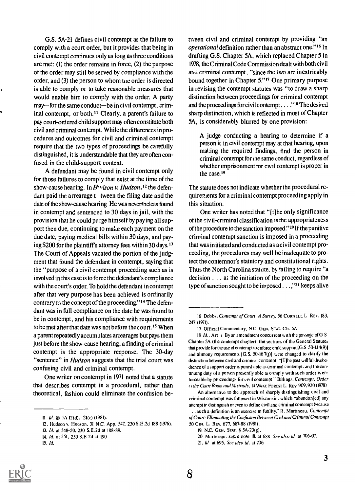G.S. 5A-21 defines civil contempt as the failure to comply with a court order, but it provides that being in civil contempt continues only as long as three conditions are met: (1) the order remains in force, (2) the purpose of the order may still be served by compliance with the order, and (3) the person to whom tie order is directed is able to comply or to take reasonable measures that would enable him to comp!y with the order. A party may—for the same conduct—be in civil contempt, criminal contempt, or both.<sup>11</sup> Clearly, a parent's failure to pay court-ordered child support may often constitute both civil and criminal contempt. While the differences in procedures and outcomes for civil and criminal contempt require that the two types of proceedings be carefully distinguished, it is understandable that they are often confused in the child-support context.

A defendant may be found in civil contempt only for those failures to comply that exist at the time of the show-cause hearing. In  $H \cdot ds$  v. Hudson,<sup>12</sup> the defendant paid the arrearage t tween the filing date and the date of the show-cause hearing He was nevertheless found in contempt and sentenced to 30 days in jail, with the provision that he could purge himself by paying all support then due, continuing to make each payment on the due date, paying medical bills within 30 days, and paving \$200 for the plaintiffs attorney fees within 30 days. <sup>13</sup> The Court of Appeals vacated the portion of the judgment that found the defendant in contempt, saying that the "purpose of a civil, contempt proceeding such as is involved in this case is to force the defendant's compliance with the court's order. To hold the defendant in contempt after that very purpose has been achieved is ordinarily contrary to the concept of the proceeding."<sup>14</sup> The defendant was in full compliance on the date he was found to be in contempt, and his compliance with requirements to be met after that date was not before the court.<sup>15</sup> When a parent repeatedly accumulates arrearages but pays them just before the show-cause hearing, a finding of criminal contempt is the appropriate response. The 30-day "sentence" in *Hudson* suggests that the trial court was confusing civil and criminal contempt.

One writer on contempt in 1971 noted that a statute that describes contempt in a procedural, rather than theoretical, fashion could eliminate the confusion be-

12. Hudson v. Hudson. 31 N.C. App. 547. 230 S.E.2d 188 (1976).

tween civil and criminal contempt by providing "an operational definition rather than an abstract one."16 In drafting G.S. Chapter 5A, which replaced Chapter 5 in 1978, the Criminal Code Commission dealt with both civil and criminal contempt, "since the two are inextricably bound together in Chapter 5."" One primary purpose in revising the contempt statutes was "to draw a sharp distinction between proceedings for criminal contempt and the proceedings for civil contempt . . . ."18 The desired sharp distinction, which is reflected in most of Chapter 5A, is considerably blurred by one provision:

A judge conducting a hearing to determine if a person is in civil contempt may at that hearing, upon making the required findings, find the person in criminal contempt for the same conduct, regardless of whether imprisonment for civil contempt is proper in the case.<sup>19</sup>

The statute does not indicate whether the procedural requirements for a criminal contempt proceeding apply in this situation.

One writer has noted that "[t]he only significance of the civ il-criminal classification is the appropriateness of the procedure to the sanction imposed."20 If the punitive criminal contempt sanction is imposed in a proceeding that was initiated and conducted as a civil contempt proceeding, the procedures may well be inadequate to protect the contemnor's statutory and constitutional rights. Thus the North Carolina statute, by failing to require "a decision . . . at the initiation of the proceeding on the type of sanction sought to be imposed . . . ,"21 keeps alive



II Id. §§ 5A-I2(d). -2I(c) (1981).

<sup>13.</sup> Id. at 548-50. 230 S.E.2d at 188-89.

<sup>14.</sup> Id. at 551, 230 S.E 2d at 190

<sup>15.</sup> Id.

<sup>16</sup> Dobbs, Contempt of Court A Survey. 56 CORNELL L REV. 183. 247 (1971).

<sup>17</sup> Official Commentary. NC GEN. STAT. Ch. 5A.

<sup>18</sup> Id., Art i By ar amendment concurrent with the passage of G S Chapter 5A (the contempt chapter), the sections of the General Statutes that provide for the use of contempt to enforce child support [G.S 50-134(9)] and alimony requirements  $[G, S, 50-167(j)]$  were changed to clarify the distinction between civil and criminal contempt "[T]he past willful disobedience of a support order is punishable as criminal contempt. and the continuing duty of a person presently able to comply with such order is enforceable by proceedings for civil contempt " Billings. Contempt. Order 1 the Court Room and Mistrials, 14 WAKE FOREST L. REV 909, 920 (1978)

An alternative to the approach of sharply distinguishing civil and criminal contempt was followed in Wisconsin. which "abandon[ed] any attempt to distinguish or even to define civil and criminal contempt because .. such a definition is an exercise in futility." R. Martineau. Contempt of Court Eliminating the Confusion Between Civil and Criminal Contempt 50 CIN. L. REV. 677. 687-88 (1981).

<sup>19.</sup> N.C. GEN. STAT. § 5A- 23(g).

<sup>20</sup> Martineau. supra note 18. at 688 See also id at 706-07.

<sup>21.</sup> Id at 695. See also id. at 706.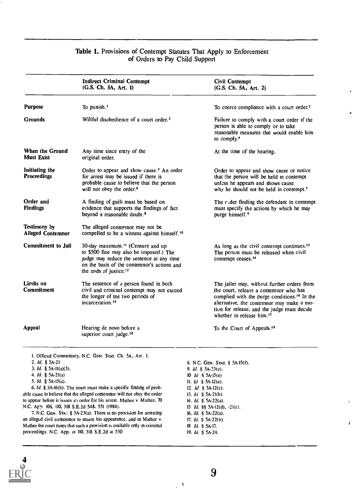#### Table 1. Provisions of Contempt Statutes That Apply to Enforcement of Orders to Pay Child Support

|                                                                                                          | <b>Indirect Criminal Contempt</b><br>(G.S. Ch. 5A, Art. 1)                                                                                                                                                                                                                           | Civil Contempt<br>(G.S. Ch. 5A, Art. 2)                                                                                                                                                                                                                                                |
|----------------------------------------------------------------------------------------------------------|--------------------------------------------------------------------------------------------------------------------------------------------------------------------------------------------------------------------------------------------------------------------------------------|----------------------------------------------------------------------------------------------------------------------------------------------------------------------------------------------------------------------------------------------------------------------------------------|
| <b>Purpose</b>                                                                                           | To punish. <sup>1</sup>                                                                                                                                                                                                                                                              | To coerce compliance with a court order. <sup>2</sup>                                                                                                                                                                                                                                  |
| Grounds                                                                                                  | Willful disobedience of a court order. <sup>3</sup>                                                                                                                                                                                                                                  | Failure to comply with a court order if the<br>person is able to comply or to take<br>reasonable measures that would enable him<br>to comply. <sup>4</sup>                                                                                                                             |
| When the Ground<br><b>Must Exist</b>                                                                     | Any time since entry of the<br>original order.                                                                                                                                                                                                                                       | At the time of the hearing.                                                                                                                                                                                                                                                            |
| Initiating the<br>Proceedings                                                                            | Order to appear and show cause. <sup>5</sup> An order<br>for arrest may be issued if there is<br>probable cause to believe that the person<br>will not obey the order. <sup>6</sup>                                                                                                  | Order to appear and show cause or notice<br>that the person will be held in contempt<br>unless he appears and shows cause<br>why he should not be held in contempt. <sup>7</sup>                                                                                                       |
| Order and<br>Findings                                                                                    | A finding of guilt must be based on<br>evidence that supports the findings of fact<br>beyond a reasonable doubt. <sup>8</sup>                                                                                                                                                        | The c.der finding the defendant in contempt<br>must specify the actions by which he may<br>purge himself. <sup>9</sup>                                                                                                                                                                 |
| Testimony by<br><b>Alleged Contemnor</b>                                                                 | The alleged conternor may not be<br>compelled to be a witness against himself. <sup>10</sup>                                                                                                                                                                                         |                                                                                                                                                                                                                                                                                        |
| Commitment to Jail                                                                                       | 30-day maximum. <sup>11</sup> (Censure and up<br>to \$500 fine may also be imposed.) The<br>judge may reduce the sentence at any time<br>on the basis of the contemnor's actions and<br>the ends of justice. <sup>12</sup>                                                           | As long as the civil contempt continues. <sup>13</sup><br>The person must be released when civil<br>contempt ceases. <sup>14</sup>                                                                                                                                                     |
| Limits on<br>Commitment                                                                                  | The sentence of a person found in both<br>civil and criminal contempt may not exceed<br>the longer of the two periods of<br>incarceration. <sup>15</sup>                                                                                                                             | The jailer may, without further orders from<br>the court, release a contemnor who has<br>complied with the purge conditions. <sup>16</sup> In the<br>alternative, the contemnor may make a mo-<br>tion for release, and the judge must decide<br>whether to release him. <sup>17</sup> |
| Appeal                                                                                                   | Hearing de novo before a<br>superior court judge. <sup>18</sup>                                                                                                                                                                                                                      | To the Court of Appeals. <sup>19</sup>                                                                                                                                                                                                                                                 |
| 2. Id. § 5A-21<br>3. <i>Id.</i> § 5A-11(a)(3).<br>4. <i>ld</i> . § 5A-21(a)<br>5. <i>Id.</i> § 5A-15(a). | 1. Official Commentary, N.C. GEN. STAT. Ch. 5A, Art. 1.<br>6. Id. § 5A-16(b). The court must make a specific finding of prob-<br>able cause to believe that the alleged contemnor will not obey the order<br>to appear before it issues an order for his arrest. Mather v Mather, 70 | 8. N.C. GEN. STAT. § 5A-15(f).<br>9. <i>Id.</i> § 5A-23(e).<br>10 <i>ld</i> $\frac{1}{2}$ 5A-15(e)<br>11. <i>Id</i> § 5A-12(a).<br>12. <i>Id</i> § 5A-12(c).<br>13. $Id \S$ 5A-21(b).<br>14. <i>Id.</i> § 5A-22(a).                                                                    |

N.C. Ap. 106, 110, 318 S.E.2d 548. 551 (1984). 7. N.C. GEN. STA:. § 5A-23(a). There is no provision for arresting an alleged civil contemnor to insure his appearance, and in Mather v. Mather the court notes that such a provision is available only in criminal proceedings. N.C. App. at 110, 318 S.E.2d at 550

14. *Id.* § 5A-22(a). 15  $Id.$  §§ 5A-12(d), -21(c). 16. Id. § 5A-22(a). 17. Id. § 5A-22(b). 18 Id. § 5A -17. 19. Id. § 5A-24.

Î.



À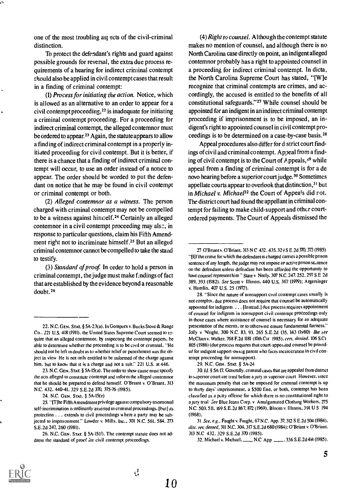one of the most troubling ast ects of the civil-criminal distinction.

To protect the defendant's rights and guard against possible grounds for reversal, the extra due process requirements of a hearing for indirect criminal contempt should also be applied in civil contempt cases that result in a finding of criminal contempt:

(1) Process for initiating the action. Notice, which is allowed as an alternative to an order to appear for a civil contempt proceeding,22 is inadequate for initiating a criminal contempt proceeding. For a proceeding for indirect criminal contempt, the alleged contemnor must be ordered to appear.<sup>23</sup> Again, the statute appears to allow a finding of indirect criminal contempt in a properly initiated proceeding for civil contempt. But it is better, if there is a chance that a finding of indirect criminal contempt will occur, to use an order instead of a notice to appear. The order should be worded to put the defendant on notice that he may be found in civil contempt or criminal contempt or both.

(2) Alleged contemnor as a witness. The person charged with criminal contempt may not be compelled to be a witness against himself.<sup>24</sup> Certainly an alleged contemnor in a civil contempt proceeding may also, in response to particular questions, claim his Fifth Amendment right not to incriminate himself.25 But an alleged criminal contemnor cannot be compelled to take the stand to testify.

(3) Standard of proof. In order to hold a person in criminal contempt, the judge must make findings of fact that are established by the evidence beyond a reasonable doubt.26

23. N.C. GEN. STAT. § 5A-15(a). The order to show cause must specify the acts alleged to constitute contempt and inform the alleged contemnor that he should be prepared to defend himself. O'Briant v. O'Briant. 313 N.C. 432. 440-41, 329 S.E.2d 370. 375-76 (1985).

24. N.C. GEN. STA7. § 5A-15(e)

(4) Right to counsel. Although the contempt statute makes no mention of counsel, and although there is no North Carolina case directly on point, an indigent alleged contemnor probably has a right to appointed counsel in a proceeding for indirect criminal contempt. In dicta, the North Carolina Supreme Court has stated, "[W]e recognize that criminal contempts are crimes, and accordingly, the accused is entitled to the benefits of all constitutional safeguards."27 While counsel should be appointed for an indigent in an indirect criminal contempt proceeding if imprisonment is to be imposed, an indigent's right to appointed counsel in civil contempt proceedings is to be determined on a case-by-case basis.28

Appeal procedures also differ for d strict court findings of civil and criminal contempt. Appeal from a finding of civil contempt is to the Court of Appeals,  $49$  while appeal from a finding of criminal contempt is for a de novo hearing before a superior court judge.<sup>30</sup> Sometimes appellate courts appear to everlook that distinction,<sup>31</sup> but in Michael v. Michael<sup>32</sup> the Court of Appeals did rot. The district court had found the appellant in criminal contempt for failing to make child-support and other courtordered payments. The Court of Appeals dismissed the

29. N.C. GEN. STAT. § 5A-24

30.1d. § 5A -17. Generally. criminal cases that are appealed from distnct to superior court are tried before a jury in superior court However, since the maximum penalty that can be imposed for criminal contempt is up to thirty days' imprisonment, a \$500 fine, or both, contempt has been classified as a puty offense for which there is no constitutional right to a jury trial See Blue Jeans Corp. v Amalgamated Clothing Workers. 275 N.C. 503, 511. 169 S.E.2d 867, 872 (1969). Bloom v. Illinois. 391 U S 194 (1968).

31. See. e.g., Faught v. Faught, 67 N.C. App. 37.312 S E.2d 504 (1984). disc. rev. denied, 311 N.C. 304. 317 S.E.2d 680 (1984): O'Briant v. O'Briant. 313 N.0 432. 329 S.E.2d 370 (1985).



<sup>22.</sup> N.C. GEN. STAT. § 5A-23(a). In Gompers v. Bucks Stove & Range Co.. 221 U.S. 418 (1911). the United States Supreme Court seemed to rzquire that an alleged contemnor. by inspecting the contempt papers, be able to determine whether the proceeding is to be civil or criminal. "He should not be left in doubt as to whether relief or punishment was the object in view He is not only entitled to be informed of the charge against him, but to know that it is a charge and not a suit." 221 U.S. at 446.

<sup>25. &</sup>quot;IT]he Fifth Amendment privilege against compulsory testimonial self-incrimination is ordinarily asserted in criminal proceedings. [but] its protection . . . extends to civil proceedings where a party may be subjected to imprisonment." Lowder v. Mills, Inc.. 301 N.C. 561. 584. 273 S.E.2d 247, 260 (1981).

<sup>26.</sup> N.C. GEN. STAT. § 5A-15(f). The contempt statute does not address the standard of proof for civil contempt proceedings.

<sup>27</sup> O'Bnant v. O'Briant. 313 N C 432. 435. 329 S E.2d 370.373 (1985) "II] f the crime for which the defendant is charged carries a possible prison sentence of any length, the judge may rot impose ar active prison sentence on the defendant unless defendant has been afforded the opportunity to have counsel represent him " State v Neely. 307 N.C. 247. 252, 297 S.E 2d 389. 393 (1982). See Scott v Illinois. 440 U.S. 367 (1979); Argersinger v. Hamlin, 4W U.S. 25 (1972).

<sup>28. &</sup>quot;Since the nature of nonsupport civil contempt cases usually is not complex. due process does not require that counsel be automatically appointed for indigents . . . [Instead.] due process requires appointment of counsel for indigents in nonsupport civil contempt proceedings only in those cases where assistance of counsel is necessary for an adequate presentation of the merits, or to otherwise ensure fundamental fairness." Jolly v Wright. 300 N.C. 83, 93, 265 S.E.2d 135, 143 (1980) But see McClain v. Walker. 768 F.2d 1181 (10th Cir 1985). cert. denied. 106 S.Ct 805 (1986) (due process requires that court-appointed counsel be provided for indigent support-owing parent who faces incarceration in civil contempt proceeding for nonsupport).

<sup>32.</sup> Michael v. Michael.\_ N.0 App \_.336 S.E.2d 414 (1985).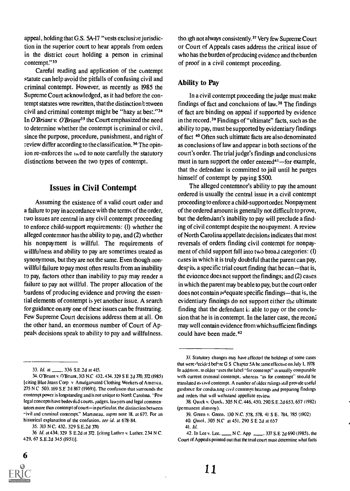appeal, holding that G.S. 5A-17 "vests exclusive jurisdiction in the superior court to hear appeals from orders in the district court holding a person in criminal contempt."33

Careful reading and application of the cuntempt statute can help avoid the pitfalls of confusing civil and criminal contempt. However, as recently as 1985 the Supreme Court acknowledged, as it had before the contempt statutes were rewritten, that the distinction between civil and criminal contempt might be "hazy at best."34 In O'Briant v. O'Briant<sup>35</sup> the Court emphasized the need to determine whether the contempt is criminal or civil, since the purpose, procedure, punishment, and right of :eview differ according to the classification.36 The opinion re-enforces the  $i$  ed to note carefully the statutory distinctions between the two types of contempt.

#### Issues in Civil Contempt

Assuming the existence of a valid court order and a failure to pay in accordance with the terms of the order, two issues are central in any civil contempt proceeding to enforce child-support requirements: (I) whether the alleged contemnor has the ability to pay, and (2) whether his nonpayment is willful. The requirements of willfulness and ability to pay are sometimes treated as synonymous, but they are not the same. Even though nonwillful failure to pay most often results from an inability to pay, factors other than inability to pay may render a failure to pay not willful. The proper allocation of the burdens of producing evidence and proving the essential elements of contempt is yet another issue. A search for guidance on any one of these issues can be frustrating. Few Supreme Court decisions address them at all. On the other hand, an enormous number of Court of Appeals decisions speak to ability to pay and willfulness,

tho.igh not always consistently.<sup>37</sup> Very few Supreme Court or Court of Appeals cases address the critical issue of who has the burden of producing evidence and the burden of proof in a civil contempt proceeding.

#### Ability to Pay

In a civil contempt proceeding the judge must make findings of fact and conclusions of law. $38$  The findings of fact are binding on appeal if supported by evidence in the record.<sup>39</sup> Findings of "ultimate" facts, such as the ability to pay, must be supported by evidentiary findings of fact 40 Often such ultimate facts are also denominated as conclusions of law and appear in both sections of the court's order. The trial judge's findings and conclusions must in turn support the order entered<sup>41</sup>-for example, that the defendant is committed to jail until he purges himself of contempt by paying \$500.

The alleged contemnor's ability to pay the amount ordered is usually the central issue in a civil contempt proceeding to enforce a child-support order. Nonpayment of the ordered amount is generally not difficult to prove, but the defendant's inability to pay will preclude a finding of civil contempt despite the nonpayment. A review of North Carolina appellate decisions indicates that most reversals of orders finding civil contempt for nonpayment of child support fall into two broad categories: (I) cases in which it is truly doubtful that the parent can pay, despite a specific trial court finding that he can-that is, the eviaence does not support the findings; and (2) cases in which the parent may be able to pay, but the court order does not contain  $\partial^d$  equate specific findings—that is, the evidentiary findings do not support either the ultimate finding that the defendant  $i<sub>s</sub>$  able to pay or the conclusion that he is in contempt. In the latter case, the record may well contain evidence from which sufficient findings could have been made.<sup>42</sup>

42. In Lee v. Lee, N C. App 2337 S.E 2d 690 (1985), the Court of Appeals pointed out that the trial court must determine what facts

6

<sup>33.</sup> *Id.* at \_\_\_\_\_, 336 S.E.2d at 415.

<sup>34.</sup> O'Briant v. O'Briant, 313 N.C 432, 434, 329 S E 2d 370, 372 (1985) [citing Blue Jeans Corp v Amalgamated Clothing Workers of America,  $275$  N C 503, 169 S.E 2d 867 (1969)]. The confusion that surrounds the contempt power is longstanding and is not unique to North Carolina. "Few legal concepts have bedeviltd courts, judges. lawyers and legal commentators more than contempt of court-in particular. the distinction between  $\gamma$ ivil and criminal contempt." Martineau. supra note 18, at 677. For an historical explanation of the confusion, see id. at 678-84.

<sup>35. 313</sup> N C. 432, 329 S.E.2d 370.

<sup>36</sup> Id. at 434, 329 S E.2d at 372. [citing Luther v. Luther, 234 N C. 429, 67 S.E.2d 345 (1951)1.

<sup>37.</sup> Statutory changes may have affected the holdings of some cases that were (lecided before G S Chapter 5A be :ame effective on July 1, 1978 In addition, in older -ases the label "for contempt" is usually comparable with current criminal contempt. whereas "as for contempt' snoald be translated as civil contempt. A number of older rulings still provide useful guidance for conducting civil contempt hearings and preparing findings and orders that will withstand appellate review.

<sup>38.</sup> Quick v. Quick, 305 N.C. 446, 450, 290 S. E.2d 653.657 (1982) (permanent alimony).

<sup>39.</sup> Green v. Green, 130 N.C. 578. 578. 41 S E. 784, 785 (1902)

<sup>40.</sup> Quick, 305 N.C at 451, 290 S E 2d at 657

<sup>41.</sup> *h*.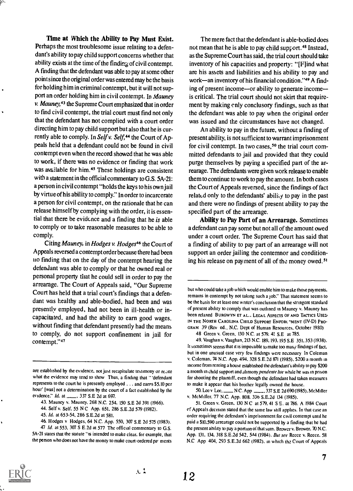Time at Which the Ability to Pay Must Exist. Perhaps the most troublesome issue relating to a defendant's ability to pay child support concerns whether that ability exists at the time of the finding of civil contempt. A finding that the defendant was able to pay at some other point since the original order was entered may be the basis for holding him in criminal contempt, but it will not support an order holding him in civil contempt. In Mauney  $\nu$ . Mauney,  $43$  the Supreme Court emphasized that in order to find civil contempt, the trial court must find not only that the defendant has not complied with a court order directing him to pay child support but also that he is currently able to comply. In Self v. Self,<sup>44</sup> the Court of Appeals held that a defendant could not be found in civil contempt even when the record showed that he was able to work, if there was no evidence or finding that work was available for him.<sup>45</sup> These holdings are consistent with a statement in the official commentary to G.S.  $5A-21$ : a person in civil contempt "holds the keys to his own jail by virtue of his ability to comply." In order to incarcerate a person for civil contempt, on the rationale that he can release himself by complying with the order, it is essential that there be evidence and a finding that he is able to comply or to take reasonable measures to be able to comply.

Citing Mauney, in Hodges v. Hodges<sup>46</sup> the Court of Appeals reversed a contempt order because there had been Ito finding that on the day of the contempt hearing the defendant was able to comply or that he owned real or personal property that he could sell in order to pay the arrearage. The Court of Appeals said, "Our Supreme Court has held that a trial court's findings that a defendant was healthy and able-bodied, had been and was presently employed, had not been in ill-health or incapacitated, and had the ability to earn good wages, without finding that defendant presently had the means to comply, do not support confinement in jail for contempt."47

The mere fact that the defendant is able-bodied does not mean that he is able to pay child support.<sup>48</sup> Instead, as the Supreme Court has said, the trial court should take inventory of his capacities and property: "[Hind what are his assets and liabilities and his ability to pay and work-an inventory of his financial condition."<sup>49</sup> A finding of present income—or ability to generate income is critical. The trial court should not skirt that requirement by making only conclusory findings, such as that the defendant was able to pay when the original order was issued and the circumstances have not changed.

An ability to pay in the future, without a finding of present ability, is not sufficient to warrant imprisonment for civil contempt. In two cases,<sup>50</sup> the trial court committed defendants to jail and provided that they could purge themselves by paying a specified part of the arrearage. The defendants were given work release to enable them to continue to work to pay the amount. In both cases the Court of Appeals reversed, since the findings of fact related only to the defendants' ability to pay in the past and there were no findings of present ability to pay the specified part of the arrearage.

Ability to Pay Part of an Arrearage. Sometimes a defendant can pay some but not all of the amount owed under a court order. The Supreme Court has said that a finding of ability to pay part of an arrearage will not support an order jailing the contemnor and conditioning his release on payment of all of the money owed.<sup>51</sup>

N C. App 28. 337 S.E 2d 690 (1985). McMiller v. McMiller. 77 N.C. App. 808. 336 S.E.2d 134 (1985).

51. Green v. Green. 130 N C at 579.41 S E. at 786. A 1984 Court of Appeals decision stated that the same law still applies. In that case an order requiring the defendant's imprisonment for civil contempt until he paid a \$10.590 arrearage could not be supported by a finding that he had the present ability to pay a portion of that sum. Brower v. Brower. 70 N.C. App. 131. 134. 318 S.E.2d 542. 544 (1984). But see Reece v. Reece. 58 N.0 App 404, 293 S.E.2d 662 (1982). in which the Court of Appeals



are established by the evidence, not just recapitulate testimony or recite what the evidence may tend to show Thus, a finding that "'defendant represents to the court he is presently employed . .. and earns \$5.10 per hour' [was] not a determination by the court of a fact established by the 50. Lee v Lee, evidence." *Id.* at , 337 S.E 2d at 697.

<sup>43.</sup> Mauney v. Mauney, 268 N.C. 254. 150 S.E 2d 391 (1966).

<sup>44.</sup> Self v. Self. 55 N C App. 651. 286 S.E.2d 579 (1982).

<sup>45.</sup> Id. at 653-54. 286 S.E.2d at 581.

<sup>46.</sup> Hodges v Hodges, 64 N.C. App. 550, 307 S.E 2d 575 (1983).

<sup>47</sup> Id. at 553. 307 S E.2d at 577 The official commentary to G.S. 5A-21 states that the statute "is intended to make clear. for example, that the person who does not have the money to make court-ordered pa' ments

but who could take a job which would enable him to make those payments. remains in contempt by not taking such a job." That statement seems to be the basis for at least one writer's conclusion that the stringent standard of present ability to comply that was outlined in Mauney v. Mauney has been relaxed BURGWYN ET AL.. LEGAL ASPECTS OF AND TACTICS USED IN THE NORTH CAROLINA CHILD SUPPORT ENFORC "MENT (IV-D) PRO-GRAM 39 (Rev ed., N.C. Dept of Human Resources. October 1980)

<sup>48</sup> Green v. Green. 130 N.C. at 579. 4: S.E at 785.

<sup>49.</sup> Vaughan v. Vaughan. 213 N.C. 189. 193. 195 S.E 351. 353 (1938). It sometimes seems that it is impossible to make too many findings of fact. but in one unusual case very few findings were necessary In Coleman v. Coleman. 74 N.C. App. 494. 328 S.E.2d 871 (1985). \$200 a month in income from renting a house established the defendant's ability to pay \$200 a month in child support and alimony pendente lire while he was in prison for shooting the plaintiff, even though the defendant had taken measures to make it appear that his brother legally owned the house.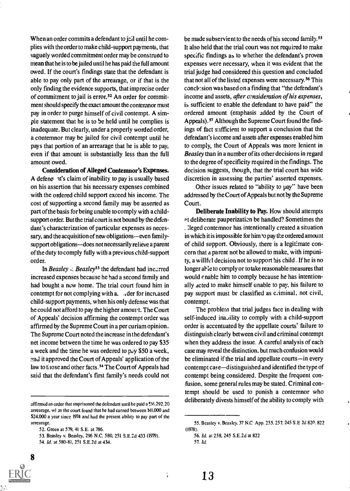When an order commits a defendant to jell until he complies with the order to make child-support payments, that vaguely worded commitment order may be construed to mean that he is to be jailed until he has paid the full amount owed. If the court's findings state that the defendant is able to pay only part of the arrearage, or if that is the only finding the evidence supports, that imprecise order of commitment to jail is error.<sup>52</sup> An order for commitment should specify the exact amount the contemnor must pay in order to purge himself of civil contempt. A simple statement that he is to be held until he complies is inadequate. But clearly, under a properly worded order, a contemnor may be jailed for civil contempt until he pays that portion of an arrearage that he is able to pay, even if that amount is substantially less than the full amount owed.

Consideration of Alleged Contemnor's Expenses. A defeno it's claim of inability to pay is usually based on his assertion that his necessary expenses combined with the ordered child support exceed his income. The cost of supporting a second family may be asserted as part of the basis for being unable to comply with a childsupport order. But the trial court is not bound by the defendant's characterization of particular expenses as necessary, and the acquisition of new obligations-even familysupport obligations-does not necessarily relieve a parent of the duty to comply fully with a previous child-support order.

In Beasley  $\therefore$  Beasley<sup>53</sup> the defendant had incarred increased expenses because he had a second family and had bought a new home. The trial court found him in contempt for not complying with a. ... der for increased child-support payments, when his only defense was that he could not afford to pay the higher amount. The Court of Appeals' decision affirming the contempt order was affirmed by the Supreme Court in a per curiam opinion. The Supreme Court noted the increase in the defendant's net income between the time he was ordered to pay \$35 a week and the time he was ordered to pay \$50 a week, and it approved the Court of Appeals' application of the law to those and other facts.<sup>54</sup> The Court of Appeals had said that the defendant's first family's needs could not

<sup>54.</sup> Id. at 580-81, 251 S.E.2d at 434.



be made subservient to the needs of his second family.<sup>55</sup> It also held that the trial court was not required to make specific findings as to whether the defendant's proven expenses were necessary, when it was evident that the trial judge had considered this question and concluded that not all of the listed expenses were necessary. 56 This conch:sion was based on a finding that "the defendant's income and assets, after consideration of his expenses, is sufficient to enable the defendant to have paid" the ordered amount (emphasis added by the Court of Appeals).<sup>57</sup> Although the Supreme Court found the findings of fact sufficient to support a conclusion that the defendant's income and assets after expenses enabled him to comply, the Court of Appeals was more lenient in Beasley than in a number of its other decisions in regard to the degree of specificity required in the findings. The decision suggests, though, that the trial court has wide discretion in assessing the parties' asserted expenses.

Other issues related to "ability to pay" have been addressed by the Court of Appeals but not by the Supreme Court.

Deliberate Inability to Pay. How should attempts at deliberate pauperization be handled? Sometimes the . :leged contemnor has intentionally created a situation in which it is impossible for him to pay the ordered amount of child support. Obviously, there is a legitimate concern that a parent not be allowed to make, with impunity, a willful decision not to support his child. If he is no longer al-le to comply or to take reasonable measures that would cnable him to comply because he has intentionally acted to make himself unable to pay. his failure to pay support must be classified as criminal, not civil, contempt.

The problem that trial judges face in dealing with self-induced inability to comply with a child-support order is accentuated by the appellate courts' failure to distinguish clearly between civil and criminal contempt when they address the issue. A careful analysis of each case may reveal the distinction, but much confusion would be eliminated if the trial and appellate courts-in every contempt case—distinguished and identified the type of contempt being considered. Despite the frequent confusion, some general rules may be stated. Criminal contempt should be used to punish a contemnor who deliberately divests himself of the ability to comply with

÷,

affirmed an order that imprisoned the defendant until he paid a \$!4.292.20 arrearage, wl en the court found that he had earned between \$11,000 and \$24,000 a year since 1974 and had the present ability to pay part of the arrearage.

<sup>52.</sup> Green at 579, 41 S.E. at 786.

<sup>53.</sup> Beasley v. Beasley, 296 N.C. 580, 251 S.E.2d 433 (1979).

<sup>55.</sup> Beasley v. Beasley. 37 N.0 App. 255. 257. 245 S.E 2d 820. 822 (1978).

<sup>56.</sup> Id. at 258. 245 S.E.2d at 822

<sup>57.</sup> Id.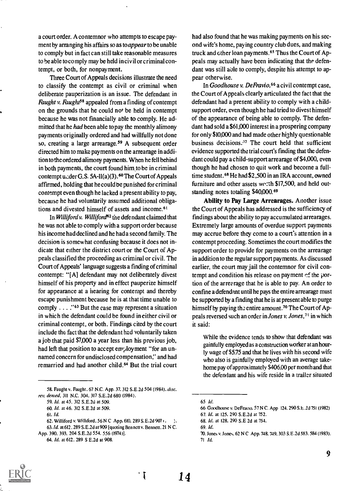a court order. A contemnor who attempts to escape payment by arranging his affairs so as to *appear* to be unable to comply but in fact can still take reasonable measures to be able to comply may be held in civil or criminal contempt, or both, for nonpayment.

Three Court of Appeals decisions illustrate the need to classify the contempt as civil or criminal when deliberate pauperization is an issue. The defendant in *Faught v. Faught*<sup>58</sup> appealed from a finding of contempt on the grounds that he could not be held in contempt because he was not financially able to comply. He admitted that he *had* been able to pay the monthly alimony payments originally ordered and had willfully not done so, creating a large arrearage.<sup>59</sup> A subsequent order directed him to make payments on the arrearage in addition to the ordered alimony payments. When he fell behind in both payments, the court found him to be in criminal contempt u.:der G.S. 5A-11(a)(3).<sup>60</sup> The Court of Appeals affirmed, holding that he could be punished for criminal contempt even though he lacked a present ability to pay, because he had voluntarily assumed additional obligations and divested himself of assets and income.<sup>6t</sup>

In Williford v. Williford<sup>62</sup> the defendant claimed that he was not able to comply with a support order because his income had declined and he hada second family. The decision is somewhat confusing because it does not indicate that either the district court or the Court of Appeals classified the proceeding as criminal or civil. The Court of Appeals' language suggests a finding of criminal contempt: "[A] defendant may not deliberately divest himself of his property and in effect pauperize himself for appearance at a hearing for contempt and thereby escape punishment because he is at that time unable to comply  $\ldots$  ."<sup>63</sup> But the case may represent a situation in which the defendant could be found in either civil or criminal contempt, or both. Findings cited by the court include the fact that the defendant had voluntarily taken a job that paid \$7,000 a year less than his previous job, had left that position to accept employment "for an unnamed concern for undisclosed compensation," and had remarried and had another child.<sup>64</sup> But the trial court had also found that he was making payments on his second wife's home, paying country club dues, and making truck and other loan payments.<sup>65</sup> Thus the Court of Appeals may actually have been indicating that the defendant was still able to comply, despite his attempt to appear otherwise.

In Goodhouse v. DeFravio,<sup>66</sup> a civil contempt case, the Court of Appeals clearly articulated the fact that the defendant had a present ability to comply with a childsupport order, even though he had tried to divest himself of the appearance of being able to comply. The defendant had sold a \$61,000 interest in a prospering company for only \$10,000 and had made other highly questionable business decisions. $57$  The court held that sufficient evidence supported the trial court's finding that the defendant could pay a child-support arrearage of \$4,000, even though he had chosen to quit work and become a fulltime student.<sup>68</sup> He had \$2,500 in an IRA account, owned furniture and other assets we.:th  $$17,500$ , and held outstanding notes totaling \$40,000.<sup>69</sup>

Ability to Pay Large Arrearages. Another issue the Court of Appeals has addressed is the sufficiency of findings about the ability to pay accumulated arrearages. Extremely large amounts of overdue support payments may accrue before they come to a court's attention in a contempt proceeding. Sometimes the court modifies the support order to provide for payments on the arrearage in addition to the regular support payments. As discussed earlier, the court may jail the contemnor for civil contempt and condition his release on payment  $\mathfrak{c}$  the portion of the arrearage that he is able to pay. An order to confine a defendant until he pays the entire arrearage must be supported by a finding that he is at present able to purge himself by paying the entire amount.<sup>70</sup> The Court of Appeals reversed such an order in Jones v. Jones,7t in which it said:

While the evidence tends to show that defendant was gainfully employed as a construction worker at an hourly wage of \$5.75 and that he lives with his second wife who also is gainfully employed with an average takehome pay of approximately \$406.00 per month and that the defendant and his wife reside in a trailer situated



<sup>58.</sup> Faught v. Faught, 67 N.C. App. 37, 312 S.E.2d 504 (1984), disc. rev. denied, 311 N.C. 304, 317 S.E.2d 680 (1984).

<sup>59.</sup> Id. at 45, 312 S. E.2d at 509.

<sup>60.</sup> Id. at 46, 312 S.E.2d at 509.

<sup>61.</sup> Id.

<sup>62.</sup> Williford v. Williford, 56 N C App. 610, 289 S.E.2d 907 (.

<sup>63. /</sup>d. at 612, 289 S. E.2d at 909 [quoting Bennett v. Bennett, 21 N C. App. 390, 393, 204 S.E.2d 554, 556 (1974)].

<sup>64.</sup> Id. at 612. 289 S E.2d at 908.

<sup>65</sup> Id.

<sup>66</sup> Goodhouse v. DeFravio. 57 N C. App 124, 290 S.E.2d 751 (1982)

<sup>67.</sup> Id. at 125. 290 S. E.2d at 752.

<sup>68.</sup> Id. at 128, 290 S.E 2d at 754.

<sup>69.</sup> Id.

<sup>70.</sup> Jones v. Jones. 62 N C App. 748. 749. 303 S. E.2d 583. 584 (1983). <sup>71</sup> Id.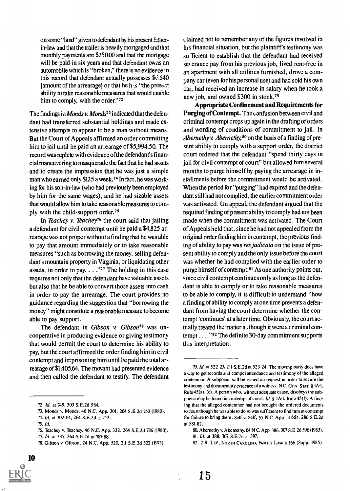on some "lard" given to defendant by his present fatlierin-law and that the trailer is heavily mortgaged and that monthly payments are \$250.00 and that the mortgage will be paid in six years and that defendant owns an automobile which is "broken," there is no eviderce in this record that defendant actually possesses \$6,540 [amount of the arrearage] or that he  $h_{1/5}$  "the present ability to take reasonable measures that would enable him to comply, with the order."<sup>72</sup>

The findings in *Monds v. Monds*<sup>73</sup> indicated that the defendant had transferred substantial holdings and made extensive attempts to appear to be a man without means. But the Court of Appeals affirmed an order committing him to jail until he paid an arrearage of \$5,994.50. The record was replete with evidence of the defendant's financial maneuvering to masquerade the fact that he had assets and to create the impression that he was just a simple man who earned only \$125 a week.74 In fact, he was working for his son-in-law (who had previously been employed by him for the same wages), and he had sizable assets that would allow him to take reasonable measures to comply with the child-support order.75

In Teachey v. Teachey<sup>76</sup> the court said that jailing a defendant for civil contempt until he paid a \$4,825 arrearage was not proper without a finding that he was able to pay that amount immediately or to take reasonable measures "such as borrowing the money, selling defendant's mountain property in Virginia, or liquidating other assets, in order to pay.  $\ldots$  ."<sup>77</sup> The holding in this case requires not only that the defendant have valuable assets but also that he be able to convert those assets into cash in order to pay the arrearage. The court provides no guidance regarding the suggestion that "borrowing the money" might constitute a reasonable measure to become able to pay support.

The defendant in Gibson v. Gibson<sup>78</sup> was uncooperative in producing evidence or giving testimony that would permit the court to determine his ability to pay, but the court affirmed the order finding him in civil contempt and imprisoning him until be paid the total arrearage of \$1,405.64. The movant had presented evidence and then called the defendant to testify. The defendant

10

claimed not to remember any of the figures involved in his financial situation, but the plaintiff's testimony was su Ticient to establish that the defendant had received severance pay from his previous job, lived rent-free in an apartment with all utilities furnished, drove a com  $z$ any car (even for his personal use) and had sold his own car, had received an increase in salary when he took a new job, and owned \$300 in stock.<sup>79</sup>

Appropriate Confinement and Requirements for Purging of Contempt. The confusion between civil and criminal contempt crops up again in the drafting of orders and wording of conditions of commitment to jail. In Abernethy v. Abernethy,  $80$  on the basis of a finding of present ability to comply with a support order, the district court ordered that the defendant "spend thirty days in jail for civil contempt of court" but allowed him several months to purge himself by paying the arrearage in installments before the commitment would be activated. When the period for "purging" had expired and the defendant still had not complied, the earlier commitment order was activated. On appeal, the defendant argued that the required finding of present ability to comply had not been made when the commitment was activated. The Court of Appeals held that, since he had not appealed from the original order finding him in contempt, the previous finding of ability to pay was res judicata on the issue of present ability to comply and the only issue before the court was whether he had complied with the earlier order to purge himself of contempt.<sup>81</sup> As one authority points out, since civil contempt continues only as long as the defendant is able to comply or to take reasonable measures to be able to comply, it is difficult to understand "how a finding of ability to comply atone time prevents a defendant from having the court determine whether the contempt 'continues' at a later time. Obviously, the court actually treated the matter as though it were a criminal contempt  $\dots$  "82 The definite 30-day commitment supports this interpretation.

<sup>72.</sup> Id. at 749, 303 S.E.2d 584.

<sup>73.</sup> Monds v. Monds, 46 N.C. App. 301, 264 S.E.2d 750 (1980).

<sup>74.</sup> Id. at 302-04, 264 S.E.2d at 752.

<sup>75.</sup> Id.

<sup>76.</sup> Teachey v. Teachey, 46 N.C. App. 332, 264 S.E.2d 786 (1980).

<sup>77.</sup> Id. at 335, 264 S.E.2d at 787-88.

<sup>78.</sup> Gibson v. Gibson, 24 N.C. App. 520, 211 S.E.2d 522 (1975).

<sup>79.</sup> Id. at 522-23. 211 S.E.2d at 523-24. The moving party does have a way to get records and compel attendance and testimony of the alleged contemnor. A subpoena will be issued on request in order to secure the testimony and documentary evidence of a witness. N.C. GEN. STAT. § IA -I, Rule 45(a), (c). A person who, without adequate cause, disobeys the subpoena may be found in contempt of court. Id. § 1A-1. Rule 45(f). A finding that the alleged contemnor had not brought the ordered documents to court though he was able to do so was sufficient to find him in contempt for failure to bring them. Self v. Self, 55 N C. App at 654, 286 S.E.2d at 581.82.

<sup>80.</sup> Abernethy v. Abernethy. 64 N C. App 386. 307 S.E 2d 396 (1983). 81. Id. at 388, 307 S.E.2d at 397.

<sup>82. 2</sup> R. LEE, NORTH CAROLINA FAMILY LAW § 156 (Supp. 1985)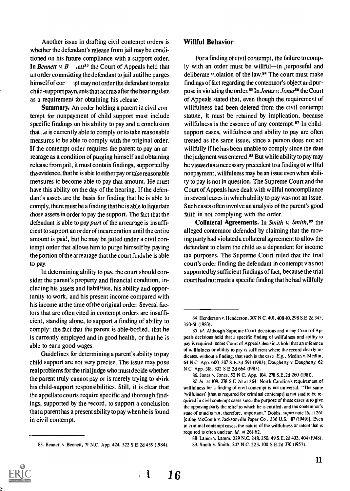Another issue in drafting civil contempt orders is whether the defendant's release from jail may be conditioned on his future compliance with a support order. In Bennett v. B .ett<sup>83</sup> the Court of Appeals held that an order committing the defendant to jail until he purges himself of cor apt may not order the defendant to make child-support payn.ents that accrue after the hearing date as a requirement for obtaining his , elease.

Summary. An order holding a parent in civil contempt for nonpayment of child support must include specific findings on his ability to pay and a conclusion that  $\mu$ e is currently able to comply or to take reasonable measures to be able to comply with the original order. If the contempt order requires the parent to pay an arrearage as a condition of purging himself and obtaining release from jail, it must contain findings, supported by the evidence, that he is able to either pay or take reasonable measures to become able to pay that amount. He must have this ability on the day of the hearing. If the defendant's assets are the basis for finding that he is able to comply, there must be a finding that he is able to liquidate those assets in order to pay the support. The fact that the defendant is able to pay part of the arrearage is insufficient to support an order of incarceration until the entire amount is paid, but he may be jailed under a civil contempt order that allows him to purge himself by paying the portion of the arreai age that the court finds he is able to pay.

In determining ability to pay, the court should consider the parent's property and financial condition, including his assets and liabilities, his ability and opportunity to work, and his present income compared with his income at the time of the original order. Several factors that are often cited in contempt orders are insufficient, standing alone, to support a finding of ability to comply: the fact that the parent is able-bodied, that he is currently employed and in good health, or that he is able to earn good wages.

Guidelines for determining a parent's ability to pay child support are not very precise. The issue may pose real problems for the trial judge who must decide whether the parent truly cannot pay or is merely trying to shirk his child-support responsibilities. Still, it is clear that the appellate courts require specific and thorough findings, supported by the record, to support a conclusion that a parent has a present ability to pay when he is found in civil contempt.

#### Willful Behavior

For a finding of civil contempt, the failure to comply with an order must be willful-in purposeful and deliberate violation of the law.84 The court must make findings of fact regarding the contemnor's object and purpose in violating the order.<sup>85</sup> In Jones v. Jones<sup>86</sup> the Court of Appeals stated that, even though the requirement of willfulness had been deleted from the civil contempt statute, it must be retained by implication, because willfulness is the essence of any contempt.<sup>87</sup> In childsupport cases, willfulness and ability to pay are often treated as the same issue, since a person does not act willfully if he has been unable to comply since the date the judgment was entered.<sup>88</sup> But while ability to pay may be viewed as a necessary precedent to a finding of willful nonpayment, willfulness may be an issue even when ability to pay is not in question. The Supreme Court and the Court of Appeals have dealt with willful noncompliance in several cases in which ability to pay was not an issue. Such cases often involve an analysis of the parent's good faith in not complying with the order.

Collateral Agreements. In Smith v. Smith,  $89$  the alleged contemnor defended by claiming that the moving party had violated a collateral agreement to allow the defendant to claim the child as a dependent for income tax purposes. The Supreme Court ruled that the trial court's order finding the defendant in contempt was not supported by sufficient findings of fact, because the trial court had not made a specific finding that he had willfully

 $\ddot{i}$ 

<sup>83.</sup> Bennett v Bennett, 71 N.C. App. 424, 322 S.E.2d 439 (1984).

<sup>84</sup> Henderson v. Henderson, 307 N C. 401, 408-10, 298 S.E.2d 345, 350-51 (1983).

<sup>85</sup> Id. Although Supreme Court decisions and many Court of Appeals decisions hold that a specific finding of willfulness and ability to pay is required. some Court of Appeals decisions hold that an inference of willfulness or ability to pay is sufficient where the record clearly Indicates, without a finding, that such is the case  $E.g.,$  Medlin v. Medlin, 64 N.0 App. 600, 307 S.E.2d 591 (1983), Daugherty v, Daugherty, 62 N.C. App. 318. 302 S E.2d 664 (1983).

<sup>86.</sup> Jones v. Jones, 52 N C. App. 104. 278 S.E.2d 260 (1981).

<sup>87.</sup> Id. at 109, 278 S.E 2d at 264. North Carolina's requirement of willfulness for a finding of civil contempt is not universal. "The same 'wilfulness' [that is required for criminal contempt] is not said to be required in civil contempt cases since the purpose of those cases is to give the opposing party the relief to which he is entitled, and the contemnor's state of mind is not, therefore. important." Dobbs, supra note 16, at 261 [citing McComb v. Jacksonville Paper Co. 336 U.S. 187 (1949)]. Even in criminal contempt cases, the nature of the willfulness or intent that is required is often unclear. Id. at 261-62.

<sup>88</sup> Lamm v. Lamm. 229 N.C. 248. 250, 49 S.E.2d 403, 404 (1948). 89. Smith v. Smith, 247 N.C. 223, 100 S.E.2d 370 (1957).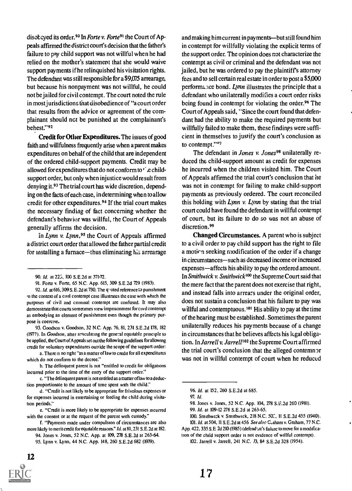disobeyed its order.<sup>90</sup> In Forte v. Forte<sup>91</sup> the Court of Appeals affirmed the district court's decision that the father's failure to pay child support was not willful when he had relied on the mother's statement that she would waive support payments if he relinquished his visitation rights. The defendant was still responsible for a \$9,075 arrearage, but because his nonpayment was not willful, he could not be jailed for civil contempt. The court noted the rule in most jurisdictions that disobedience of "a court order that results from the advice or agreement of the complainant should not be punished at the complainant's behest."92

Credit for Other Expenditures. The issues of good faith and willfulness frequently arise when a parent makes expenditures on behalf of the child that are independent of the ordered child-support payments. Credit may be allowed for expenditures that do not conform to ' e childsupport order, but only when injustice would result from denying it.93 The trial court has wide discretion, depending on the facts of each case, in determining when to allow credit for other expenditures.<sup>94</sup> If the trial court makes the necessary finding of fact concerning whether the defendant's behavior was willful, the Court of Appeals generally affirms the decision.

In Lynn v. Lynn,<sup>95</sup> the Court of Appeals affirmed a district court order that allowed the father partial credit for installing a furnace—thus eliminating his arrearage

a. There is no right "as a matter of law to credit for all expenditures which do not conform to the decree."

e. "Credit is more likely to be appropriate for expenses incurred with the consent or at the request of the parent with custody.'

f. "Payments made under compulsion of circumstances are also more likely to merit credit for equitable masons." Id. at 81, 231 S. E.2d at 182.

12

and making him current in payments--but still found him in contempt for willfully violating the explicit terms of the support order. The opinion does not characterize the contempt as civil or criminal and the defendant was not jailed, but he was ordered to pay the plaintiffs attorney fees and to sell certain real estate in order to post a \$5,000 performance bond. Lynn illustrates the principle that a defendant who unilaterally modifies a court order risks being found in contempt for violating the order.<sup>96</sup> The Court of Appeals said, "Since the court found that defendant had the ability to make the required payments but willfully failed to make them, these findings were sufficient in themselves to justify the court's conclusion as to contempt."°7

The defendant in *Jones v. Jones*<sup>98</sup> unilaterally reduced the child-support amount as credit for expenses he incurred when the children visited him. The Court of Appeals affirmed the trial court's conclusion that he was not in contempt for failing to make child-support payments as previously ordered. The court reconciled this holding with Lynn v. Lynn by stating that the trial court could have found the defendant in willful contempt of court, but its failure to do so was not an abuse of discretion.<sup>99</sup>

Changed Circumstances. A parent who is subject to a civil order to pay child support has the right to file a motirn seeking modification of the order if a change in circumstances-such as decreased income or increased expenses—affects his ability to pay the ordered amount. In Smithwick v. Smithwick<sup>100</sup> the Supreme Court said that the mere fact that the parent does not exercise that right, and instead falls into arrears under the original order, does not sustain a conclusion that his failure to pay was willful and contemptuous.<sup>101</sup> His ability to pay at the time of the hearing must be established. Sometimes the parent unilaterally reduces his payments because of a change in circumstances that he believes affects his legal obligation. In Jarrell v. Jarrell<sup>102</sup> the Supreme Court affirmed the trial court's conclusion that the alleged contemnor was not in willful contempt of court when he reduced

101. Id. at 504, II S. E.2d at 456 See also C,aham v. Graham, 77 N.C. App. 422, 335 S.E 2d 210 (1985) (defend : nt's failure to move for a modification of the child support order is not evidence of willful contempt).

<sup>90.</sup> Id. at 225, 100 S.E.2d at 371-72.

<sup>91.</sup> Forte v. Forte, 65 N.C. App. 615, 309 S.E.2d 729 (1983).

<sup>92.</sup> Id. at 616, 309 S.E.2d at 730. The quoted reference to punishment .n the context of a civil contempt case illustrates the ease with which the purposes of civil and criminal contempt are confused. It may also demonstrate that courts sometimes view imprisonment forcivil contempt as embodying an element of punishment even though the primary purpose is coercive.

<sup>93.</sup> Goodson v. Goodson, 32 N.C. App. 76, 81, 231 S.E.2d 178, 182 (1977). In Goodson, atter articulating the general equitable principle to be applied, the Court of Appeals set out the following guidelines for allowing credit for voluntary expenditures outside the scope of the support order:

b. The delinquent parent is not "entitled to credit for obligations incurred prior to the time of the entry of the support order."

c. "The delinquent parent is not entitled as a mat ter oflaw to a deduction proportionate to the amount of time spent with the child."

d. "Credit is not likely to be appropriate for frivolous expenses or for expenses incurred in entertaining or feeding the child during visita tion periods."

<sup>94.</sup> Jones v. Jones, 52 N.C. App. at 109, 278 S.E.2d at 263-64. 95. Lynn v. Lynn, 44 N.C. App. 148, 260 S.E.2d 682 (1979).

<sup>96.</sup> Id. at 152, 260 S.E.2d at 685.

<sup>97.</sup> Id.

<sup>98.</sup> Jones v. Jones, 52 N.C. App. 104, 278 S.E.2d 260 (1981).

<sup>99.</sup> Id. at 109-12 278 S.E.2d at 263.65.

<sup>100.</sup> Smithwick v. Smithwick, 218 N.C. 50., 11 S.E.2d 455 (1940).

<sup>102.</sup> Jarrell v. Jarrell, 241 N.C. 73, 84 S.E.2d 328 (1954).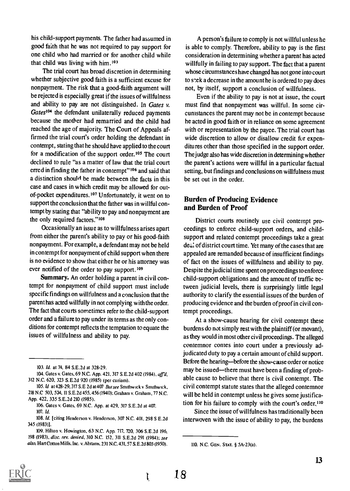his child-support payments. The father had assumed in good faith that he was not required to pay support for one child who had married or for another child while that child was living with him.1°3

The trial court has broad discretion in determining whether subjective good faith is a sufficient excuse for nonpayment. The risk that a good-faith argument will be rejected is especially great if the issues of willfulness and ability to pay are not distinguished. In Gates  $v$ . Gates<sup>104</sup> the defendant unilaterally reduced payments because the mother had remarried and the child had reached the age of majority. The Court of Appeals affirmed the trial court's order holding the defendant in contempt, stating that he should have applied to the court for a modification of the support order.<sup>105</sup> The court declined to rule "as a matter of law that the trial court erred in finding the father in contempt"106 and said that a distinction should be made between the facts in this case and cases in which credit may be allowed for outof-pocket expenditures.107 Unfortunately, it went on to support the conclusion that the father was in willful contempt by stating that "ability to pay and nonpayment are the only required factors."<sup>108</sup>

Occasionally an issue as to willfulness arises apart from either the parent's ability to pay or his good-faith nonpayment. For example, a defendant may not be held in contempt for nonpayment of child support when there is no evidence to show that either he or his attorney was ever notified of the order to pay support. 109

Summary. An order holding a parent in civil contempt for nonpayment of child support must include specific findings on willfulness and a conclusion that the parent has acted willfully in not complying with the order. The fact that courts sometimes refer to the child-support order and a failure to pay under its terms as the only conditions for contempt reflects the temptation to equate the issues of willfulness and ability to pay.

108. Id. [citing Henderson v. Henderson, 307 N.C. 401, 298 S E.2d 345 (1983)].

109. Hilton v. Howington, 63 N.C. App. 717, 720, 306 S.E.2d 196, 198 (1983), disc. rev. denied, 310 N.C. 152, 311 S.E.2d 291 (1984); see also, Hart Cotton Mills, Inc. v. Abrams, 231 N.C. 431, 57 S. E.2d 803 (1950).

A person's failure to comply is not willful unless he is able to comply. Therefore, ability to pay is the first consideration in determining whether a parent has acted willfully in failing to pay support. The fact that a parent whose circumstances have changed has not gone into court to sek a decrease in the amount he is ordered to pay does not, by itself, support a conclusion of willfulness.

Even if the ability to pay is not at issue, the court must find that nonpayment was willful. In some circumstances the parent may not be in contempt because he acted in good faith or in reliance on some agreement with or representation by the payee. The trial court has wide discretion to allow or disallow credit for expenditures other than those specified in the support order. The judge also has wide discretion in determining whether the parent's actions were willful in a particular factual setting, but findings and conclusions on willfulness must be set out in the order.

#### Burden of Producing Evidence and Burden of Proof

District courts routinely use civil contempt proceedings to enforce child-support orders, and childsupport and related contempt proceedings take a great dea: of district court time. Yet many of the cases that are appealed are remanded because of insufficient findings of fact on the issues of willfulness and ability to pay. Despite the judicial time spent on proceedings to enforce child-support obligations and the amount of traffic between judicial levels, there is surprisingly little legal authority to clarify the essential issues of the burden of producing evidence and the burden ofproof in civil contempt proceedings.

At a show-cause hearing for civil contempt these burdens do not simply rest with the plaintiff (or movant), as they would in most other civil proceedings. The alleged contemnor conies into court under a previously adjudicated duty to pay a certain amount of child support. Before the hearing—before the show-cause order or notice may be issued-there must have been a finding of probable cause to believe that there is civil contempt. The civil contempt statute states that the alleged contemnor will be held in contempt unless he gives some justification for his failure to comply with the court's order, <sup>110</sup>

Since the issue of willfulness has traditionally been interwoven with the issue of ability to pay, the burdens



Ţ

<sup>103.</sup> Id. at 74, 84 S.E.2d at 328-29.

<sup>104.</sup> Gates v. Gates, 69 N.C. App. 421, 317 S.E.2d 402 (1984), affd, 312 N.C. 620, 323 S.E.2d 920 (1985) (per curiam).

<sup>105.</sup> Id at 428-29, 317 S.E 2d at 407 But see Smithwick v Smithwick, 218 N.0 503, 534, 11 S.E.2d 455, 456(1940); Graham v. Graham, 77 N.C. App. 422, 335 S.E.2d 210 (1985).

<sup>106.</sup> Gates v. Gates, 69 N.C. App. at 429, 317 S.E.2d at 407. 107. Id.

<sup>110.</sup> N.C. GEN. STAT. § 5A-23(a).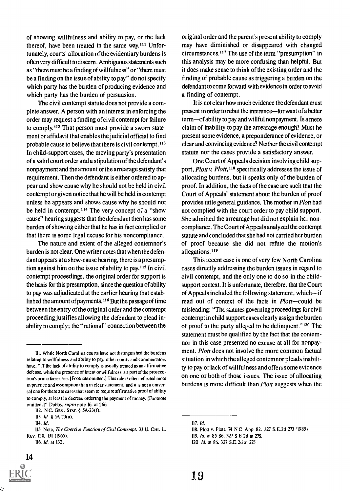of showing willfulness and ability to pay, or the lack thereof, have been treated in the same way.<sup>111</sup> Unfortunately, courts' allocation of the evidentiary burdens is often very difficult to discern. Ambiguous statements such as "there must be a finding of willfulness" or "there must be a finding on the issue of ability to pay" do not specify which party has the burden of producing evidence and which party has the burden of persuasion.

The civil contempt statute does not provide a complete answer. A person with an interest in enforcing the order may request a finding of civil contempt for failure to comply.<sup>112</sup> That person must provide a sworn statement or affidavit that enables the judicial official to find probable cause to believe that there is civil contempt.<sup>113</sup> In child-support cases, the moving party's presentation of a valid court order and a stipulation of the defendant's nonpayment and the amount of the arrearage satisfy that requirement. Then the defendant is either ordered to appear and show cause why he should not be held in civil contempt or given notice that he will be held in contempt unless he appears and shows cause why he should not be held in contempt.<sup>114</sup> The very concept of a "show cause" hearing suggests that the defendant then has some burden of showing either that he has in fact complied or that there is some legal excuse for his noncompliance.

The nature and extent of the alleged contemnor's burden is not clear. One writer notes that when the defendant appears at a show-cause hearing, there is a presumption against him on the issue of ability to pay.<sup>115</sup> In civil contempt proceedings, the original order for support is the basis for this presumption, since the question of ability to pay was adjudicated at the earlier hearing that established the amount of payments.<sup>116</sup> But the passage of time between the entry of the original order and the contempt proceeding justifies allowing the defendant to plead inability to comply; the "rational" connection between the

<sup>116.</sup> Id. at 132.



original order and the parent's present ability to comply may have diminished or disappeared with changed circumstances.<sup>117</sup> The use of the term "presumption" in this analysis may be more confusing than helpful. But it does make sense to think of the existing order and the finding of probable cause as triggering a burden on the defendant to come forward with evidence in order to avoid a finding of contempt.

It is not clear how much evidence the defendant must present in order to rebut the interence—for want of a better term—of ability to pay and willful nonpayment. Is a mere claim of inability to pay the arrearage enough? Must he present some evidence, a preponderance of evidence, or clear and convincing evidence? Neither the civil contempt statute nor the cases provide a satisfactory answer.

One Court of Appeals decision involving child support, Plott v. Plott, <sup>118</sup> specifically addresses the issue of allocating burdens, but it speaks only of the burden of proof. In addition, the facts of the case are such that the Court of Appeals' statement about the burden of proof provides little general guidance. The mother in *Plott* had not complied with the court order to pay child support. She admitted the arrearage but did not explain her noncompliance. The Court of Appeals analyzed the contempt statute and concluded that she had not carried her burden of proof because she did not refute the motion's allegations.<sup>119</sup>

This recent case is one of very few North Carolina cases directly addressing the burden issues in regard to civil contempt, and the only one to do so in the childsupport context. It is unfortunate, therefore, that the Court of Appeals included the following statement, which—if read out of context of the facts in *Plott*-could be misleading: "The statutes governing proceedings for civil contempt in child support cases clearly assign the burden of proof to the party alleged to be delinquent." $120$  The statement must he qualified by the fact that the contemnor in this case presented no excuse at all for nonpayment. Plott does not involve the more common factual situation in which the alleged contemnor pleads inability to pay or lack of willfulness and offers some evidence on one or both of those issues. The issue of allocating burdens is more difficult than *Plott* suggests when the

HI. while North Carolina courts have not distinguished the burdens relating to willfulness and ability to pay, other courts and commentators have. "[T]he lack of ability to comply is usually treated as an affirmative defense, while the presence of intent or wilfulness is a part of the prosecution's prima facie case. [Footnote omitted.] This rule is often reflected more in practice and assumption than in clear statement, and it is not a universal one for there are cases that seem to require affirmative proof of ability to comply, at least in decrees ordering the payment of money. [Footnote omitted.]" Dobbs. supra note 16. at 266.

<sup>112.</sup> N C. GEN. STAT. § 5A- 23(f).

<sup>113.</sup> Id. § 5A-23(a).

<sup>114.</sup> Id.

<sup>115.</sup> Note, The Coercive Function of Civil Contempt. 33 U. CHI. L. REV. 120, 131 (1965).

<sup>117.</sup> Id.

<sup>118.</sup> Plott v. Plott. 74 N C App 82. 327 S.E.2d 273 /1985)

<sup>119.</sup> Id. at 85-86. 327 S E 2d at 275.

<sup>120</sup> *Id.* at 85, 327 S.E.2d at 275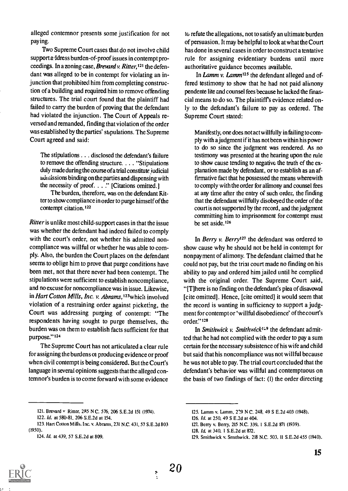alleged contemnor presents some justification for not paying.

Two Supreme Court cases that do not involve child support address burden-of-proof issues in contempt proceedings. In a zoning case, Brevard v. Ritter,  $121$  the defendant was alleged to be in contempt for violating an injunction that prohibited him from completing construction of a building and required him to remove offending structures. The trial court found that the plaintiff had failed to carry the burden of proving that the defendant had violated the injunction. The Court of Appeals reversed and remanded, finding that violation of the order was established by the parties' stipulations. The Supreme Court agreed and said:

The stipulations . . . disclosed the defendant's failure to remove the offending structure. . . . "Stipulations duly made during the course ofa trial constitute judicial admissions binding on the parties and dispensing with the necessity of proof. . . ." [Citations omitted.]

The burden, therefore, was on the defendant Ritter to show compliance in order to purge himself of the contempt citation.<sup>122</sup>

Ritter is unlike most child-support cases in that the issue was whether the defendant had indeed failed to comply with the court's order, not whether his admitted noncompliance was willful or whether he was able to comply. Also, the burden the Court places on the defendant seems to oblige him to prove that purge conditions have been met, not that there never had been contempt. The stipulations were sufficient to establish noncompliance, and no excuse for noncompliance was in issue. Likewise, in Hart Cotton Mills, Inc. v. Abrams,<sup>123</sup>which involved violation of a restraining order against picketing, the Court was addressing purging of contempt: "The respondents having sought to purge themselves, the burden was on them to establish facts sufficient for that purpose."<sup>124</sup>

The Supreme Court has not articulated a clear rule for assigning the burdens of producing evidence or proof when civil contempt is being considered. But the Court's language in several opinions suggests that the alleged contemnor's burden is to come forward with some evidence

to refute the allegations, not to satisfy an ultimate burden of persuasion. It may be helpful to look at what the Court has done in several cases in order to construct a tentative rule for assigning evidentiary burdens until more authoritative guidance becomes available.

In Lamm v. Lamm<sup>125</sup> the defendant alleged and offered testimony to show that he had not paid alimony pendente lite and counsel fees because he lacked the financial means to do so. The plaintiffs evidence related only to the defendant's failure to pay as ordered. The Supreme Court stated:

Manifestly, one does not act willfully in failing to comply with a judgment if it has not been within his power to do so since the judgment was rendered. As no testimony was presented at the hearing upon the rule to show cause tending to negative the truth of the explanation made by defendant, or to establish as an affirmative fact that he possessed the means wherewith to comply with the order for alimony and counsel fees at any time after the entry of such order, the finding that the defendant willfully disobeyed the order of the court is not supported by the record, and the judgment committing him to imprisonment for contempt must be set aside.<sup>126</sup>

In Berry  $v$ . Berry<sup>127</sup> the defendant was ordered to show cause why he should not be held in contempt for nonpayment of alimony. The defendant claimed that he could not pay, but the trial court made no finding on his ability to pay and ordered him jailed until he complied with the original order. The Supreme Court said, "[T]here is no finding on the defendant's plea of disavowal [cite omitted]. Hence, [cite omitted] it would seem that the record is wanting in sufficiency to support a judgment for contempt or 'willful disobedience' of the court's order."<sup>128</sup>

In Smithwick v. Smithwick<sup>129</sup> the defendant admitted that he had not complied with the order to pay a sum certain for the necessary subsistence of his wife and child but said that his noncompliance was not willful because he was not able to pay. The trial court corcluded that the defendant's behavior was willful and contemptuous on the basis of two findings of fact: (I) the order directing

- 123. Hart Cotton Mills, Inc. v. Abrams. 231 N.C. 431.57 S.E.2d 803 (1950).
	- 124. Id. at 439. 57 S.E.2d at 809.

125. Lamm v. Lamm. 219 N C. 248. 49 S E.2d 403 (1948).

20



<sup>121.</sup> Brevard v Ritter. 2R5 N C. 576, 206 S.E.2d 151 (1974).

<sup>122.</sup> Id. at 580-81. 206 S.E.2d at 154.

<sup>126.</sup> Id. at 250. 49 S E.2d at 404.

<sup>127.</sup> Berry v. Berry. 215 N.C. 339, I S.E.2d 871 (1939).

<sup>128.</sup> Id. at 340. 1 S.E.2d at 872.

<sup>129.</sup> Smithwick v. Smithwick. 218 N.C. 503. 11 S.E.2d 455 (1940).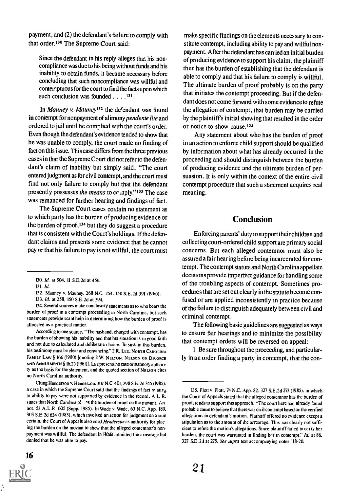payment, and (2) the defendant's failure to comply with that order.<sup>130</sup> The Supreme Court said:

Since the defendant in his reply alleges that his noncompliance was due to his being without funds and his inability to obtain funds, it became necessary before concluding that such noncompliance was willful and contemptuous for the court to find the facts upon which such conclusion was founded . . . .<sup>131</sup>

In Mauney v. Mauney<sup>132</sup> the defendant was found in contempt for nonpayment of alimony *pendente lite* and ordered to jail until he complied with the court's order. Even though the defendant's evidence tended to show that he was unable to comply, the court made no finding of fact on this issue. This case differs from the three previous cases in that the Supreme Court did not refer to the defendant's claim of inability but simply said, "The court entered judgment as for civil contempt, and the court must find not only failure to comply but that the defendant presently possesses the means to comply."<sup>133</sup> The case was remanded for further hearing and findings of fact.

The Supreme Court cases contain no statement as to which party has the burden of producing evidence or the burden of proof,134 but they do suggest a procedure that is consistent with the Court's holdings. If the defendant claims and presents some evidence that he cannot pay or that his failure to pay is not willful, the court must

134. Several sources make conclusory statements as to who bears the burden of proof in a contempt proceeding in North Carolina. but such statements provide scant help in determining how the burden of proof is allocated as a practical matter.

According to one source. "The husband. charged with contempt, has the burden of showing his inability and that his situation is in good faith and not due to calculated and deliberate choice. To sustain this burden. his testimony must be clear and convincing." 2 R. LEE. NORTH CAROLINA FAMILY LAW § 166 (1980) (quoting 2 W. NELSON. NELSON ON DIVORCE AND ANNULMENTS § 16.25 (1961)]. LEE presents no case or statuto: y authority as the basis for the statement. and the quoted section of NELSON cites no North Carolina authority.

Citing Henderson v. Hender.on. 307 N.0 401.298 S.E.2d 345 (1985). a case in which the Supreme Court said that the findings of fact relating to ability to pay were not supported by evidence in the record. A.L R. states that North Carolina p!  $\gamma$  is the burden of proof on the movant.  $\lambda$ . not. 53 A.L.R. 605 (Supp. 1985). In Wade v Wade, 63 N.C. App. 189. 303 S.E.2d 634 (1983). which involved an action for judgment on a sum certain, the Court of Appeals also cited Henderson as authority for placing the burden on the movant to show that the alleged contemnor's nonpayment was willful. The defendant in Wade admitted the arrearage but denied that he was able to pay.



Any statement about who has the burden of proof in an action to enforce child support should be qualified by information about what has already occurred in the proceeding and should distinguish between the burden of producing evidence and the ultimate burden of persuasion. It is only within the context of the entire civil contempt procedure that such a statement acquires real meaning.

#### Conclusion

Enforcing parents' duty to support their children and collecting court-ordered child support are primary social concerns. But each alleged contemnot must also be assured a fair hearing before being incarcerated for contempt. The contempt statute and North Carolina appellate decisions provide imperfect guidance for handling some of the troubling aspects of contempt. Sometimes procedures that are set out clearly in the statute become confused or are applied inconsistently in practice because of the failure to distinguish adequately between civil and criminal contempt.

The following basic guidelines are suggested as ways to ensure fair hearings and to minimize the possibility that contempt orders will be reversed on appeal:

I. Be sure throughout the proceeding, and particularly in an order finding a party in contempt, that the con-

<sup>130.</sup> Id. at 504. 11 S.E.2d at 456.

<sup>131.</sup> Id.

<sup>132.</sup> Mauney v. Mauney. 268 N.C. 254. 150 S.E.2d 391 (1966).

<sup>133.</sup> Id. at 258. 150 S.E.2d at 394.

<sup>135.</sup> Plott v Plott, 74 N.C. App. 82. 327 S.E.2d 273 (1985). in which the Court of Appeals stated that the alleged contemnor has the burden of proof, tends to support this approach. "The court here had already found probable cause to believe that there was cis il contempt based on the verified allegations in defendant's motion. Plaintiff offered no evidence except a stipulation as to the amount of the arrearage. This was clearly not sufficient to refute the motion's allegations. Since pla.ntiff failed to carry her burden, the court was warranted in finding her in contempt." Id. at 86. 327 S.E.2d at 275. See aupra text accompanying notes 118-20.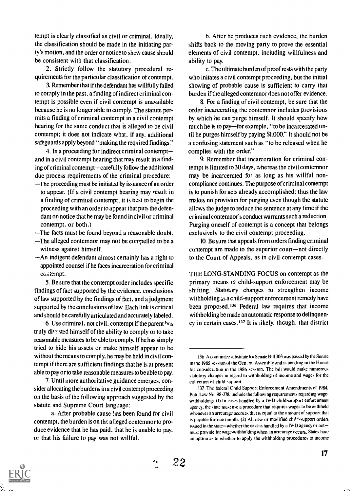tempt is clearly classified as civil or criminal. Ideally, the classification should be made in the initiating party's motion, and the order or notice to show cause should be consistent with that classification.

2. Strictly follow the statutory procedural requirements for the particular classification of contempt.

3. Remember that if the defendant has willfully failed to comply in the past, a finding of indirect criminal contempt is possible even if civil contempt is unavailable because he is no longer able to comply. The statute permits a finding of criminal contempt in a civil contempt hearing for the same conduct that is alleged to be civil contempt; it does not indicate what, if any, additional safeguards apply beyond "making the required findings."

4. In a proceeding for indirect criminal contempt and in a civil contempt hearing that may result in a finding of criminal contempt—carefully follow the additional due process requirements of the criminal procedure:

The proceeding must be initiated by issuance of an order to appear. (If a civil contempt hearing may result in a finding of criminal contempt, it is best to begin the proceeding with an order to appear that puts the defendant on notice that he may be found in civil or criminal contempt. or both.)

The facts must be found beyond a reasonable doubt.

- The alleged contemnor may not be compelled to be a witness against himself.
- An indigent defendant almost certainly has a right to appointed counsel if he faces incarceration for criminal co.itempt.

5. Be sure that the contempt order includes specific findings of fact supported by the evidence, conclusions of law supported by the findings of fact. and a judgment supported by the conclusions of law. Each link is critical and should be carefully articulated and accurately labeled.

6. Use criminal, not civil, contempt if the parent has truly diw.sted himself of the ability to comply or to take reasonable measures tc be able to comply. If he has simply tried to hide his assets or make himself appear to be without the means to comply, he may be held in civil contempt if there are sufficient findings that he is at present able to pay or to take reasonable measures to be able to pay.

7. Until more authoritative guidance emerges, consider allocating the burdens in a civil contempt proceeding on the basis of the following approach suggested by the statute and Supreme Court language:

b. After he produces such evidence, the burden shifts back to the moving party to prove the essential elements of civil contempt, including willfulness and ability to pay.

c. The ultimate burden of proof rests with the party who initates a civil contempt proceeding, but the initial showing of probable cause is sufficient to carry that burden if the alleged contemnor does not offer evidence.

8. For a finding of civil contempt, be sure that the order incarcerating the contemnor includes provisions by which he can purge himself. It should specify how much he is to pay—for example, "to be incarcerated until he purges himself by paying \$1,000." It should not be a confusing statement such as "to be released when he complies with the order."

9. Remember that incarceration for criminal contempt is limited to 30 days, whereas the civil contemnor may be incarcerated for as long as his willful noncompliance continues. The purpose of criminal contempt is to punish for acts already accomplished; thus the law makes no provision for purging even though the statute allows the judge to reduce the sentence at any time if the criminal contemnor's conduct warrants such a reduction. Purging oneself of contempt is a concept that belongs exclusively to the civil contempt proceeding.

10. Be sure that appeals from orders finding criminal contempt are made to the superior court-not directly to the Court of Appeals. as in civil contempt cases.

THE LONG-STANDING FOCUS on contempt as the primary means of child-support enforcement may be shifting. Statutory changes to strengthen income withholding as a child-support enforcement remedy have been proposed.'36 Federal law requires that income withholding be made an automatic response to delinquency in certain cases.<sup>137</sup> It is likely, though, that district

a. After probable cause has been found for civil contempt, the burden is on the alleged contemnor to produce evidence that he has paid, that he is unable to pay. or that his failure to pay was not willful.

<sup>136</sup> A committee substitute tor Senate Bill 303 was passed by the Senate in the 1985 session of the Gen :ral Assembly and is pending in the House. for consideration in the 1986 session. The bill would make numerous statutory changes in regard to withholding of income and wages for the collection of child support

<sup>137</sup> The tederal Child Support Enforcement Amendments of 1984. Pub Law No. 98-378, include the following requirements regarding wagewithholding: (1) In cases handled by a IV-D child-support enforcement agency. the state must use a procedure that requires wages to be withheld whenever an arrearage accrues that is equal to the amount of support that is payable for one month. (2) All new or modified chi<sup>1,4</sup>-support orders issued in the state-whether the case is handled by a IV-D agency or notmust provide for wage-withholding when an arrearage occurs. States have an option as to whether to apply the withholding procedures to income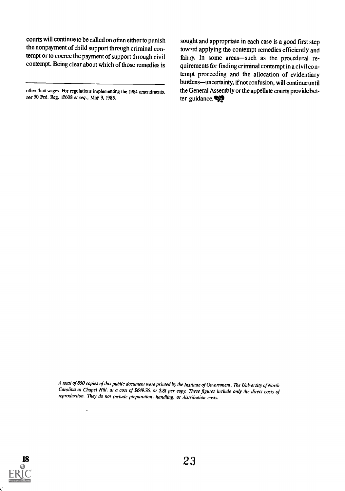courts will continue to be called on often either to punish the nonpayment of child support through criminal contempt or to coerce the payment of support through civil contempt. Being clear about which of those remedies is

 $\ddot{\phantom{a}}$ 

sought and appropriate in each case is a good first step tow rd applying the contempt remedies efficiently and fairly. In some areas-such as the procedural requirements for finding criminal contempt in a civil contempt proceeding and the allocation of evidentiary burdens—uncertainty, if not confusion, will continue until the General Assembly or the appellate courts prov ide better guidance. $\bigotimes$ 

A total of 850 copies of this public document were printed by the Institute of Government, The University of North Carolina at Chapel Hill, at a cost of \$649.76, or \$81 per copy. These figures include only the direct costs of reprodurtion. They do not include preparation, handling, or distribution costs.



other than wages. For regulations implementing the 1984 amendments, see 50 Fed. Reg. 19608 et seq., May 9, 1985.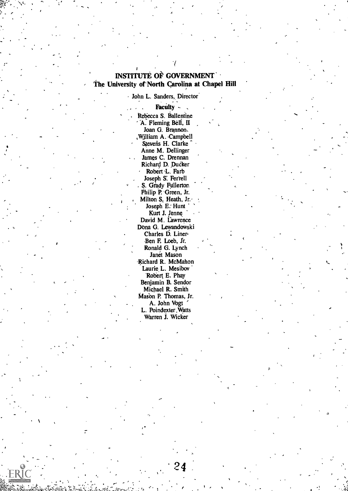#### INSTITUTE OF GOVERNMENT The University of North Carolina at Chapel Hill

John L. Sanders, Director

Faculty -Rebecca S. Ballentine A. Fleming Bell, II Joan G. Brannon. William A. Campbell Stevens H. Clarke Anne M. Dellinger . James C. Drennan Richard D. Ducker Robert<sub>L.</sub> Farb Joseph S: Ferrell . S. Grady Fullertor, Philip P. Green, Jr. Milton S<sub>z</sub> Heath, Jr. Joseph E: Hunt Kurt J. Jenne David M. Lawrence Dona G. Lewandowski Charles D. Liner Ben F. Loeb, Jr. Ronald G. Lynch Janet Mason -Richard R. McMahon Laurie L. Mesibov 'Robert E. Phay Benjamin B. Sendor Michael R. Smith Mason P. Thomas, Jr. A. John Vogt L. Poindexter.Watts Warren J. Wicker

13.

 $24 - 4$